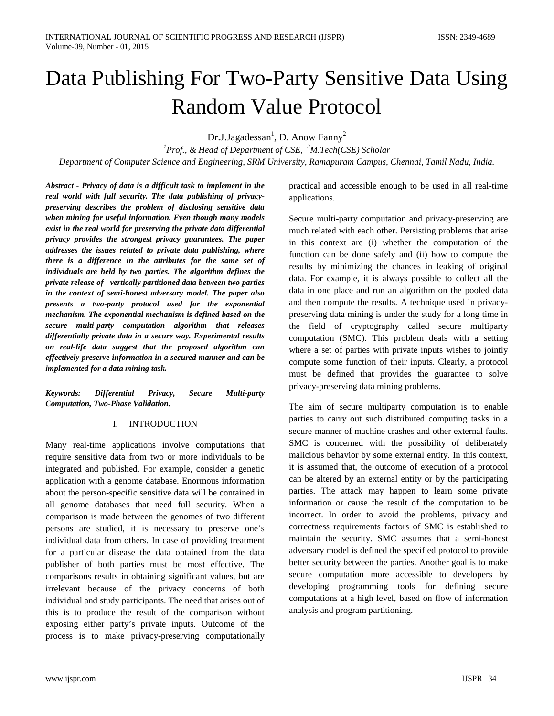# Data Publishing For Two-Party Sensitive Data Using Random Value Protocol

Dr.J.Jagadessan<sup>1</sup>, D. Anow Fanny<sup>2</sup>

*1 Prof., & Head of Department of CSE, <sup>2</sup> M.Tech(CSE) Scholar Department of Computer Science and Engineering, SRM University, Ramapuram Campus, Chennai, Tamil Nadu, India.*

*Abstract - Privacy of data is a difficult task to implement in the real world with full security. The data publishing of privacypreserving describes the problem of disclosing sensitive data when mining for useful information. Even though many models exist in the real world for preserving the private data differential privacy provides the strongest privacy guarantees. The paper addresses the issues related to private data publishing, where there is a difference in the attributes for the same set of individuals are held by two parties. The algorithm defines the private release of vertically partitioned data between two parties in the context of semi-honest adversary model. The paper also presents a two-party protocol used for the exponential mechanism. The exponential mechanism is defined based on the secure multi-party computation algorithm that releases differentially private data in a secure way. Experimental results on real-life data suggest that the proposed algorithm can effectively preserve information in a secured manner and can be implemented for a data mining task.*

*Keywords: Differential Privacy, Secure Multi-party Computation, Two-Phase Validation.*

#### I. INTRODUCTION

Many real-time applications involve computations that require sensitive data from two or more individuals to be integrated and published. For example, consider a genetic application with a genome database. Enormous information about the person-specific sensitive data will be contained in all genome databases that need full security. When a comparison is made between the genomes of two different persons are studied, it is necessary to preserve one's individual data from others. In case of providing treatment for a particular disease the data obtained from the data publisher of both parties must be most effective. The comparisons results in obtaining significant values, but are irrelevant because of the privacy concerns of both individual and study participants. The need that arises out of this is to produce the result of the comparison without exposing either party's private inputs. Outcome of the process is to make privacy-preserving computationally

practical and accessible enough to be used in all real-time applications.

Secure multi-party computation and privacy-preserving are much related with each other. Persisting problems that arise in this context are (i) whether the computation of the function can be done safely and (ii) how to compute the results by minimizing the chances in leaking of original data. For example, it is always possible to collect all the data in one place and run an algorithm on the pooled data and then compute the results. A technique used in privacypreserving data mining is under the study for a long time in the field of cryptography called secure multiparty computation (SMC). This problem deals with a setting where a set of parties with private inputs wishes to jointly compute some function of their inputs. Clearly, a protocol must be defined that provides the guarantee to solve privacy-preserving data mining problems.

The aim of secure multiparty computation is to enable parties to carry out such distributed computing tasks in a secure manner of machine crashes and other external faults. SMC is concerned with the possibility of deliberately malicious behavior by some external entity. In this context, it is assumed that, the outcome of execution of a protocol can be altered by an external entity or by the participating parties. The attack may happen to learn some private information or cause the result of the computation to be incorrect. In order to avoid the problems, privacy and correctness requirements factors of SMC is established to maintain the security. SMC assumes that a semi-honest adversary model is defined the specified protocol to provide better security between the parties. Another goal is to make secure computation more accessible to developers by developing programming tools for defining secure computations at a high level, based on flow of information analysis and program partitioning.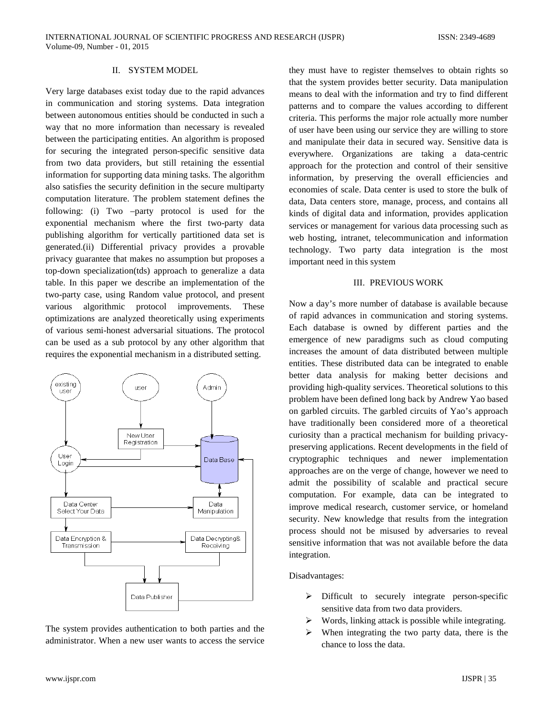# II. SYSTEM MODEL

Very large databases exist today due to the rapid advances in communication and storing systems. Data integration between autonomous entities should be conducted in such a way that no more information than necessary is revealed between the participating entities. An algorithm is proposed for securing the integrated person-specific sensitive data from two data providers, but still retaining the essential information for supporting data mining tasks. The algorithm also satisfies the security definition in the secure multiparty computation literature. The problem statement defines the following: (i) Two –party protocol is used for the exponential mechanism where the first two-party data publishing algorithm for vertically partitioned data set is generated.(ii) Differential privacy provides a provable privacy guarantee that makes no assumption but proposes a top-down specialization(tds) approach to generalize a data table. In this paper we describe an implementation of the two-party case, using Random value protocol, and present various algorithmic protocol improvements. These optimizations are analyzed theoretically using experiments of various semi-honest adversarial situations. The protocol can be used as a sub protocol by any other algorithm that requires the exponential mechanism in a distributed setting.



The system provides authentication to both parties and the administrator. When a new user wants to access the service they must have to register themselves to obtain rights so that the system provides better security. Data manipulation means to deal with the information and try to find different patterns and to compare the values according to different criteria. This performs the major role actually more number of user have been using our service they are willing to store and manipulate their data in secured way. Sensitive data is everywhere. Organizations are taking a data-centric approach for the protection and control of their sensitive information, by preserving the overall efficiencies and economies of scale. Data center is used to store the bulk of data, Data centers store, manage, process, and contains all kinds of digital data and information, provides application services or management for various data processing such as web hosting, intranet, telecommunication and information technology. Two party data integration is the most important need in this system

#### III. PREVIOUS WORK

Now a day's more number of database is available because of rapid advances in communication and storing systems. Each database is owned by different parties and the emergence of new paradigms such as cloud computing increases the amount of data distributed between multiple entities. These distributed data can be integrated to enable better data analysis for making better decisions and providing high-quality services. Theoretical solutions to this problem have been defined long back by Andrew Yao based on garbled circuits. The garbled circuits of Yao's approach have traditionally been considered more of a theoretical curiosity than a practical mechanism for building privacypreserving applications. Recent developments in the field of cryptographic techniques and newer implementation approaches are on the verge of change, however we need to admit the possibility of scalable and practical secure computation. For example, data can be integrated to improve medical research, customer service, or homeland security. New knowledge that results from the integration process should not be misused by adversaries to reveal sensitive information that was not available before the data integration.

#### Disadvantages:

- $\triangleright$  Difficult to securely integrate person-specific sensitive data from two data providers.
- $\triangleright$  Words, linking attack is possible while integrating.
- $\triangleright$  When integrating the two party data, there is the chance to loss the data.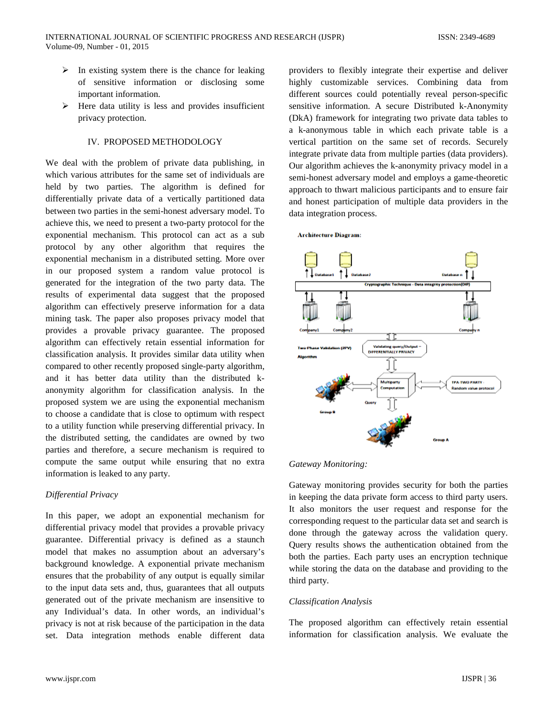- $\triangleright$  In existing system there is the chance for leaking of sensitive information or disclosing some important information.
- $\triangleright$  Here data utility is less and provides insufficient privacy protection.

# IV. PROPOSED METHODOLOGY

We deal with the problem of private data publishing, in which various attributes for the same set of individuals are held by two parties. The algorithm is defined for differentially private data of a vertically partitioned data between two parties in the semi-honest adversary model. To achieve this, we need to present a two-party protocol for the exponential mechanism. This protocol can act as a sub protocol by any other algorithm that requires the exponential mechanism in a distributed setting. More over in our proposed system a random value protocol is generated for the integration of the two party data. The results of experimental data suggest that the proposed algorithm can effectively preserve information for a data mining task. The paper also proposes privacy model that provides a provable privacy guarantee. The proposed algorithm can effectively retain essential information for classification analysis. It provides similar data utility when compared to other recently proposed single-party algorithm, and it has better data utility than the distributed kanonymity algorithm for classification analysis. In the proposed system we are using the exponential mechanism to choose a candidate that is close to optimum with respect to a utility function while preserving differential privacy. In the distributed setting, the candidates are owned by two parties and therefore, a secure mechanism is required to compute the same output while ensuring that no extra information is leaked to any party.

# *Differential Privacy*

In this paper, we adopt an exponential mechanism for differential privacy model that provides a provable privacy guarantee. Differential privacy is defined as a staunch model that makes no assumption about an adversary's background knowledge. A exponential private mechanism ensures that the probability of any output is equally similar to the input data sets and, thus, guarantees that all outputs generated out of the private mechanism are insensitive to any Individual's data. In other words, an individual's privacy is not at risk because of the participation in the data set. Data integration methods enable different data providers to flexibly integrate their expertise and deliver highly customizable services. Combining data from different sources could potentially reveal person-specific sensitive information. A secure Distributed k-Anonymity (DkA) framework for integrating two private data tables to a k-anonymous table in which each private table is a vertical partition on the same set of records. Securely integrate private data from multiple parties (data providers). Our algorithm achieves the k-anonymity privacy model in a semi-honest adversary model and employs a game-theoretic approach to thwart malicious participants and to ensure fair and honest participation of multiple data providers in the data integration process.

 $\uparrow \downarrow$  Databased Validating query/Outp<br>DIFFERENTIALLY PRIVACY  $\perp$ **Multiparty TPA: TWO PARTY Random value protocc** 

**Architecture Diagram:** 

#### *Gateway Monitoring:*

Gateway monitoring provides security for both the parties in keeping the data private form access to third party users. It also monitors the user request and response for the corresponding request to the particular data set and search is done through the gateway across the validation query. Query results shows the authentication obtained from the both the parties. Each party uses an encryption technique while storing the data on the database and providing to the third party.

# *Classification Analysis*

The proposed algorithm can effectively retain essential information for classification analysis. We evaluate the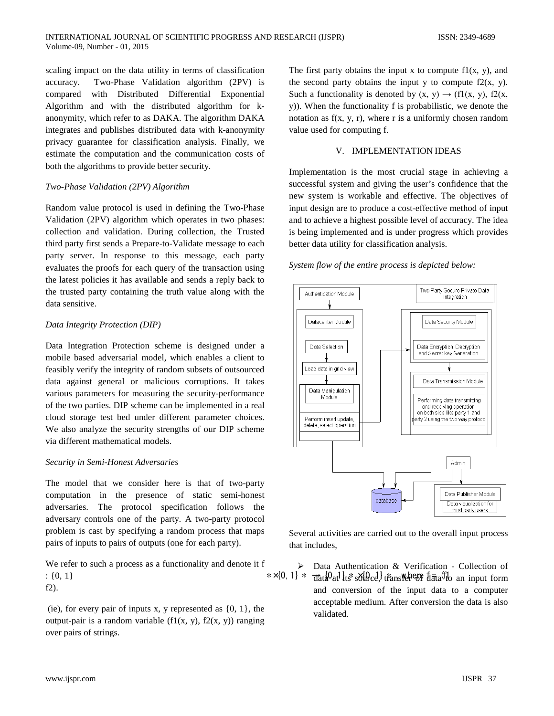scaling impact on the data utility in terms of classification accuracy. Two-Phase Validation algorithm (2PV) is compared with Distributed Differential Exponential Algorithm and with the distributed algorithm for kanonymity, which refer to as DAKA. The algorithm DAKA integrates and publishes distributed data with k-anonymity privacy guarantee for classification analysis. Finally, we estimate the computation and the communication costs of both the algorithms to provide better security.

# *Two-Phase Validation (2PV) Algorithm*

Random value protocol is used in defining the Two-Phase Validation (2PV) algorithm which operates in two phases: collection and validation. During collection, the Trusted third party first sends a Prepare-to-Validate message to each party server. In response to this message, each party evaluates the proofs for each query of the transaction using the latest policies it has available and sends a reply back to the trusted party containing the truth value along with the data sensitive.

# *Data Integrity Protection (DIP)*

Data Integration Protection scheme is designed under a mobile based adversarial model, which enables a client to feasibly verify the integrity of random subsets of outsourced data against general or malicious corruptions. It takes various parameters for measuring the security-performance of the two parties. DIP scheme can be implemented in a real cloud storage test bed under different parameter choices. We also analyze the security strengths of our DIP scheme via different mathematical models.

#### *Security in Semi-Honest Adversaries*

The model that we consider here is that of two-party computation in the presence of static semi-honest adversaries. The protocol specification follows the adversary controls one of the party. A two-party protocol problem is cast by specifying a random process that maps pairs of inputs to pairs of outputs (one for each party).

We refer to such a process as a functionality and denote it f : {0, 1} \*  $\frac{1}{3}$  +  $\frac{1}{3}$  +  $\frac{1}{3}$  +  $\frac{1}{3}$  +  $\frac{1}{3}$  +  $\frac{1}{3}$  +  $\frac{1}{3}$  +  $\frac{1}{3}$  +  $\frac{1}{3}$  +  $\frac{1}{3}$  +  $\frac{1}{3}$  +  $\frac{1}{3}$  +  $\frac{1}{3}$  +  $\frac{1}{3}$  +  $\frac{1}{3}$  +  $\frac{1}{3}$  +  $\frac{1}{3}$  +  $\frac{$ f2).

(ie), for every pair of inputs x, y represented as  $\{0, 1\}$ , the output-pair is a random variable  $(f1(x, y), f2(x, y))$  ranging over pairs of strings.

The first party obtains the input x to compute  $f(x, y)$ , and the second party obtains the input y to compute  $f2(x, y)$ . Such a functionality is denoted by  $(x, y) \rightarrow (f1(x, y), f2(x, y))$ y)). When the functionality f is probabilistic, we denote the notation as  $f(x, y, r)$ , where r is a uniformly chosen random value used for computing f.

# V. IMPLEMENTATION IDEAS

Implementation is the most crucial stage in achieving a successful system and giving the user's confidence that the new system is workable and effective. The objectives of input design are to produce a cost-effective method of input and to achieve a highest possible level of accuracy. The idea is being implemented and is under progress which provides better data utility for classification analysis.

#### *System flow of the entire process is depicted below:*



Several activities are carried out to the overall input process that includes,

 Data Authentication & Verification - Collection of and conversion of the input data to a computer acceptable medium. After conversion the data is also validated.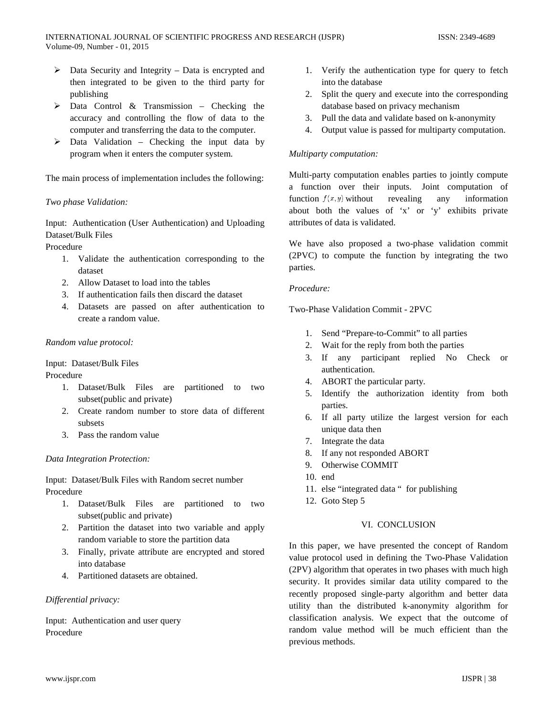- $\triangleright$  Data Security and Integrity Data is encrypted and then integrated to be given to the third party for publishing
- $\triangleright$  Data Control & Transmission Checking the accuracy and controlling the flow of data to the computer and transferring the data to the computer.
- $\triangleright$  Data Validation Checking the input data by program when it enters the computer system.

The main process of implementation includes the following:

# *Two phase Validation:*

Input: Authentication (User Authentication) and Uploading Dataset/Bulk Files

Procedure

- 1. Validate the authentication corresponding to the dataset
- 2. Allow Dataset to load into the tables
- 3. If authentication fails then discard the dataset
- 4. Datasets are passed on after authentication to create a random value.

#### *Random value protocol:*

Input: Dataset/Bulk Files

Procedure

- 1. Dataset/Bulk Files are partitioned to two subset(public and private)
- 2. Create random number to store data of different subsets
- 3. Pass the random value

#### *Data Integration Protection:*

Input: Dataset/Bulk Files with Random secret number Procedure

- 1. Dataset/Bulk Files are partitioned to two subset(public and private)
- 2. Partition the dataset into two variable and apply random variable to store the partition data
- 3. Finally, private attribute are encrypted and stored into database
- 4. Partitioned datasets are obtained.

# *Differential privacy:*

Input: Authentication and user query Procedure

- 1. Verify the authentication type for query to fetch into the database
- 2. Split the query and execute into the corresponding database based on privacy mechanism
- 3. Pull the data and validate based on k-anonymity
- 4. Output value is passed for multiparty computation.

# *Multiparty computation:*

Multi-party computation enables parties to jointly compute a function over their inputs. Joint computation of function  $f(x, y)$  without revealing any information about both the values of 'x' or 'y' exhibits private attributes of data is validated.

We have also proposed a two-phase validation commit (2PVC) to compute the function by integrating the two parties.

# *Procedure:*

Two-Phase Validation Commit - 2PVC

- 1. Send "Prepare-to-Commit" to all parties
- 2. Wait for the reply from both the parties
- 3. If any participant replied No Check or authentication.
- 4. ABORT the particular party.
- 5. Identify the authorization identity from both parties.
- 6. If all party utilize the largest version for each unique data then
- 7. Integrate the data
- 8. If any not responded ABORT
- 9. Otherwise COMMIT
- 10. end
- 11. else "integrated data " for publishing
- 12. Goto Step 5

#### VI. CONCLUSION

In this paper, we have presented the concept of Random value protocol used in defining the Two-Phase Validation (2PV) algorithm that operates in two phases with much high security. It provides similar data utility compared to the recently proposed single-party algorithm and better data utility than the distributed k-anonymity algorithm for classification analysis. We expect that the outcome of random value method will be much efficient than the previous methods.